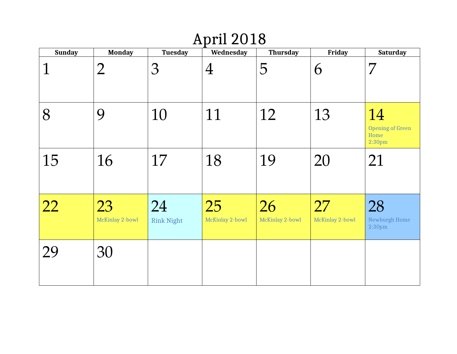# April 2018

| <b>Sunday</b> | <b>Monday</b>         | <b>Tuesday</b>          | Wednesday             | <b>Thursday</b>       | <b>Friday</b>         | <b>Saturday</b>                                             |
|---------------|-----------------------|-------------------------|-----------------------|-----------------------|-----------------------|-------------------------------------------------------------|
|               | $\overline{2}$        | 3                       | $\overline{4}$        | 5                     | 6                     | 7                                                           |
| 8             | 9                     | 10                      | 11                    | 12                    | 13                    | 14<br><b>Opening of Green</b><br>Home<br>2:30 <sub>pm</sub> |
| 15            | 16                    | 17                      | 18                    | 19                    | 20                    | 21                                                          |
| 22            | 23<br>McKinlay 2-bowl | 24<br><b>Rink Night</b> | 25<br>McKinlay 2-bowl | 26<br>McKinlay 2-bowl | 27<br>McKinlay 2-bowl | 28<br>Newburgh Home<br>2:30 <sub>pm</sub>                   |
| 29            | 30                    |                         |                       |                       |                       |                                                             |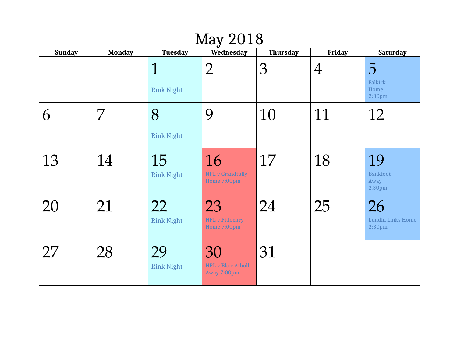#### May 2018

| <b>Sunday</b> | <b>Monday</b> | <b>Tuesday</b>                   | Wednesday                                      | <b>Thursday</b> | <b>Friday</b>  | <b>Saturday</b>                                      |
|---------------|---------------|----------------------------------|------------------------------------------------|-----------------|----------------|------------------------------------------------------|
|               |               | $\mathbf 1$<br><b>Rink Night</b> | $\overline{2}$                                 | 3               | $\overline{4}$ | 5<br>Falkirk<br>Home<br>2:30 <sub>pm</sub>           |
| 6             | 7             | 8<br><b>Rink Night</b>           | 9                                              | 10              | 11             | 12                                                   |
| 13            | 14            | 15<br><b>Rink Night</b>          | 16<br><b>NPL v Grandtully</b><br>Home 7:00pm   | 17              | 18             | 19<br><b>Bankfoot</b><br>Away<br>2.30pm              |
| 20            | 21            | 22<br><b>Rink Night</b>          | 23<br>NPL v Pitlochry<br>Home 7:00pm           | 24              | 25             | 26<br><b>Lundin Links Home</b><br>2:30 <sub>pm</sub> |
| 27            | 28            | 29<br><b>Rink Night</b>          | 30<br><b>NPL v Blair Atholl</b><br>Away 7:00pm | 31              |                |                                                      |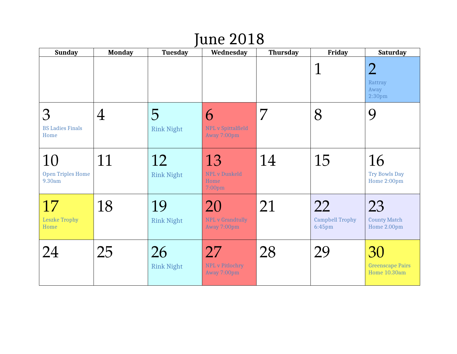## June 2018

| <b>Sunday</b>                            | <b>Monday</b>  | <b>Tuesday</b>          | Wednesday                                                | <b>Thursday</b> | <b>Friday</b>                          | <b>Saturday</b>                                         |
|------------------------------------------|----------------|-------------------------|----------------------------------------------------------|-----------------|----------------------------------------|---------------------------------------------------------|
|                                          |                |                         |                                                          |                 | $\mathbf 1$                            | $\overline{2}$<br>Rattray<br>Away<br>2:30 <sub>pm</sub> |
| 3<br><b>BS Ladies Finals</b><br>Home     | $\overline{4}$ | 5<br><b>Rink Night</b>  | 6<br><b>NPL</b> v Spittalfield<br>Away 7:00pm            | 7               | 8                                      | 9                                                       |
| 10<br><b>Open Triples Home</b><br>9.30am | 11             | 12<br><b>Rink Night</b> | 13<br><b>NPL v Dunkeld</b><br>Home<br>7:00 <sub>pm</sub> | 14              | 15                                     | 16<br>Try Bowls Day<br>Home 2:00pm                      |
| 17<br><b>Leszke Trophy</b><br>Home       | 18             | 19<br><b>Rink Night</b> | 20<br><b>NPL v Grandtully</b><br>Away 7:00pm             | 21              | 22<br><b>Campbell Trophy</b><br>6:45pm | 23<br><b>County Match</b><br>Home 2.00pm                |
| 24                                       | 25             | 26<br><b>Rink Night</b> | 27<br><b>NPL v Pitlochry</b><br>Away 7:00pm              | 28              | 29                                     | 30<br><b>Greenscape Pairs</b><br>Home 10.30am           |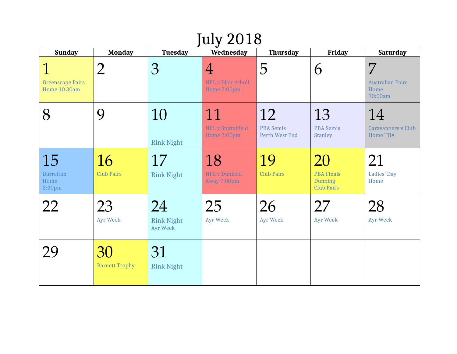| <b>July 2018</b>                                     |                             |                                     |                                                            |                                                 |                                                         |                                                    |  |  |
|------------------------------------------------------|-----------------------------|-------------------------------------|------------------------------------------------------------|-------------------------------------------------|---------------------------------------------------------|----------------------------------------------------|--|--|
| <b>Sunday</b>                                        | <b>Monday</b>               | <b>Tuesday</b>                      | Wednesday                                                  | <b>Thursday</b>                                 | <b>Friday</b>                                           | <b>Saturday</b>                                    |  |  |
| <b>Greenscape Pairs</b><br>Home 10.30am              | $\overline{2}$              | 3                                   | $\overline{4}$<br><b>NPL v Blair Atholl</b><br>Home 7:00pm | 5                                               | 6                                                       | 7<br><b>Australian Pairs</b><br>Home<br>10:00am    |  |  |
| 8                                                    | 9                           | 10<br><b>Rink Night</b>             | 11<br><b>NPL</b> v Spittalfield<br>Home 7:00pm             | 12<br><b>PBA Semis</b><br><b>Perth West End</b> | 13<br><b>PBA Semis</b><br><b>Stanley</b>                | 14<br><b>Caravanners v Club</b><br><b>Home TBA</b> |  |  |
| 15<br><b>Burrelton</b><br>Home<br>2:30 <sub>pm</sub> | 16<br><b>Club Pairs</b>     | 17<br><b>Rink Night</b>             | 18<br><b>NPL v Dunkeld</b><br>Away 7:00pm                  | 19<br><b>Club Pairs</b>                         | 20<br><b>PBA Finals</b><br>Dunning<br><b>Club Pairs</b> | 21<br>Ladies' Day<br>Home                          |  |  |
| 22                                                   | 23<br><b>Ayr Week</b>       | 24<br><b>Rink Night</b><br>Ayr Week | 25<br><b>Ayr Week</b>                                      | 26<br><b>Ayr Week</b>                           | 27<br><b>Ayr Week</b>                                   | 28<br><b>Ayr Week</b>                              |  |  |
| 29                                                   | 30<br><b>Barnett Trophy</b> | 31<br><b>Rink Night</b>             |                                                            |                                                 |                                                         |                                                    |  |  |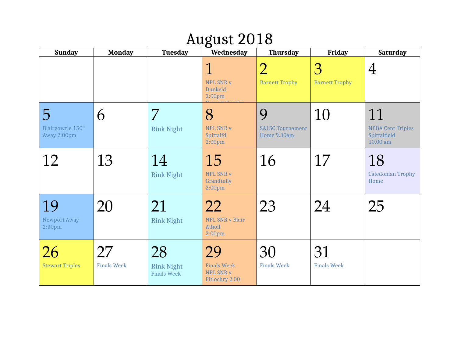## August 2018

| <b>Sunday</b>                                                  | <b>Monday</b>            | <b>Tuesday</b>                                | Wednesday                                                               | <b>Thursday</b>                             | <b>Friday</b>              | <b>Saturday</b>                                              |
|----------------------------------------------------------------|--------------------------|-----------------------------------------------|-------------------------------------------------------------------------|---------------------------------------------|----------------------------|--------------------------------------------------------------|
|                                                                |                          |                                               | $\mathbf 1$<br><b>NPL SNR v</b><br><b>Dunkeld</b><br>2:00 <sub>pm</sub> | $\overline{2}$<br><b>Barnett Trophy</b>     | 3<br><b>Barnett Trophy</b> | $\overline{4}$                                               |
| $\overline{5}$<br>Blairgowrie 150 <sup>th</sup><br>Away 2:00pm | 6                        | 7<br><b>Rink Night</b>                        | 8<br>NPL SNR v<br>Spittalfd<br>2:00 <sub>pm</sub>                       | 9<br><b>SALSC Tournament</b><br>Home 9.30am | 10                         | 11<br><b>NPBA Cent Triples</b><br>Spittalfield<br>$10.00$ am |
| 12                                                             | 13                       | 14<br><b>Rink Night</b>                       | 15<br>NPL SNR v<br>Grandtully<br>2:00 <sub>pm</sub>                     | 16                                          | 17                         | 18<br><b>Caledonian Trophy</b><br>Home                       |
| 19<br><b>Newport Away</b><br>2:30 <sub>pm</sub>                | 20                       | 21<br><b>Rink Night</b>                       | 22<br><b>NPL SNR v Blair</b><br>Atholl<br>2:00 <sub>pm</sub>            | 23                                          | 24                         | 25                                                           |
| 26<br><b>Stewart Triples</b>                                   | 27<br><b>Finals Week</b> | 28<br><b>Rink Night</b><br><b>Finals Week</b> | 29<br><b>Finals Week</b><br><b>NPL SNR v</b><br>Pitlochry 2.00          | 30<br><b>Finals Week</b>                    | 31<br><b>Finals Week</b>   |                                                              |